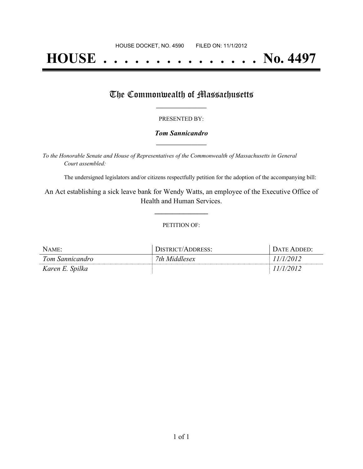# **HOUSE . . . . . . . . . . . . . . . No. 4497**

### The Commonwealth of Massachusetts

#### PRESENTED BY:

#### *Tom Sannicandro* **\_\_\_\_\_\_\_\_\_\_\_\_\_\_\_\_\_**

*To the Honorable Senate and House of Representatives of the Commonwealth of Massachusetts in General Court assembled:*

The undersigned legislators and/or citizens respectfully petition for the adoption of the accompanying bill:

An Act establishing a sick leave bank for Wendy Watts, an employee of the Executive Office of Health and Human Services.

**\_\_\_\_\_\_\_\_\_\_\_\_\_\_\_**

#### PETITION OF:

| NAME:           | DISTRICT/ADDRESS: | DATE ADDED: |
|-----------------|-------------------|-------------|
| Tom Sannicandro | 7th Middlesex     | 11/1/2012   |
| Karen E. Spilka |                   | 11/1/2012   |